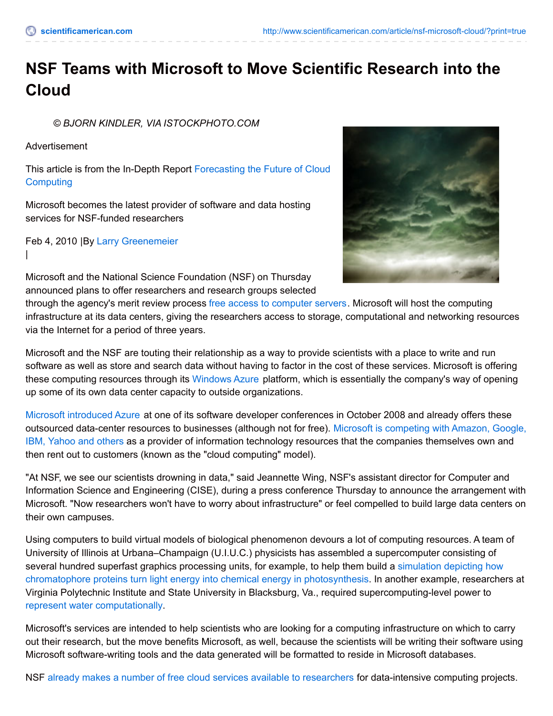## **NSF Teams with Microsoft to Move Scientific Research into the Cloud**

*© BJORN KINDLER, VIA ISTOCKPHOTO.COM*

Advertisement

This article is from the In-Depth Report [Forecasting](http://www.scientificamerican.com/report/cloud-computing/) the Future of Cloud **Computing** 

Microsoft becomes the latest provider of software and data hosting services for NSF-funded researchers

Feb 4, 2010 |By Larry [Greenemeier](http://www.scientificamerican.com/author/larry-greenemeier) |



Microsoft and the National Science Foundation (NSF) on Thursday announced plans to offer researchers and research groups selected

through the agency's merit review process free access to [computer](http://www.microsoft.com/presspass/press/2010/feb10/02-04NSFPR.mspx) servers. Microsoft will host the computing infrastructure at its data centers, giving the researchers access to storage, computational and networking resources via the Internet for a period of three years.

Microsoft and the NSF are touting their relationship as a way to provide scientists with a place to write and run software as well as store and search data without having to factor in the cost of these services. Microsoft is offering these computing resources through its [Windows](http://www.microsoft.com/windowsazure/windowsazure/) Azure platform, which is essentially the company's way of opening up some of its own data center capacity to outside organizations.

Microsoft [introduced](http://www.microsoft.com/presspass/press/2008/oct08/10-27PDCDay1PR.mspx) Azure at one of its software developer conferences in October 2008 and already offers these outsourced [data-center](http://news.cnet.com/8301-13846_3-10447042-62.html) resources to businesses (although not for free). Microsoft is competing with Amazon, Google, IBM, Yahoo and others as a provider of information technology resources that the companies themselves own and then rent out to customers (known as the "cloud computing" model).

"At NSF, we see our scientists drowning in data," said Jeannette Wing, NSF's assistant director for Computer and Information Science and Engineering (CISE), during a press conference Thursday to announce the arrangement with Microsoft. "Now researchers won't have to worry about infrastructure" or feel compelled to build large data centers on their own campuses.

Using computers to build virtual models of biological phenomenon devours a lot of computing resources. A team of University of Illinois at Urbana–Champaign (U.I.U.C.) physicists has assembled a supercomputer consisting of several hundred superfast graphics processing units, for example, to help them build a simulation depicting how chromatophore proteins turn light energy into chemical energy in [photosynthesis.](http://www.scientificamerican.com/article.cfm?id=gpu-aids-photosynthesis) In another example, researchers at Virginia Polytechnic Institute and State University in Blacksburg, Va., required supercomputing-level power to represent water [computationally](http://www.scientificamerican.com/article.cfm?id=opencl-smooths-supercomputing).

Microsoft's services are intended to help scientists who are looking for a computing infrastructure on which to carry out their research, but the move benefits Microsoft, as well, because the scientists will be writing their software using Microsoft software-writing tools and the data generated will be formatted to reside in Microsoft databases.

NSF already makes a number of free cloud services available to [researchers](http://www.nsf.gov/cise/news/2010_microsoft.jsp) for data-intensive computing projects.